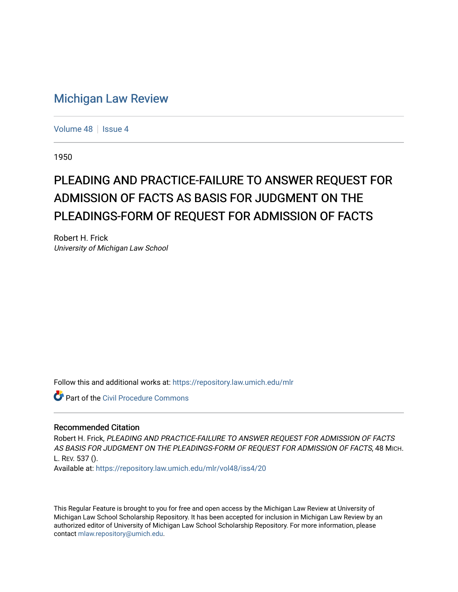## [Michigan Law Review](https://repository.law.umich.edu/mlr)

[Volume 48](https://repository.law.umich.edu/mlr/vol48) | [Issue 4](https://repository.law.umich.edu/mlr/vol48/iss4)

1950

## PLEADING AND PRACTICE-FAILURE TO ANSWER REQUEST FOR ADMISSION OF FACTS AS BASIS FOR JUDGMENT ON THE PLEADINGS-FORM OF REQUEST FOR ADMISSION OF FACTS

Robert H. Frick University of Michigan Law School

Follow this and additional works at: [https://repository.law.umich.edu/mlr](https://repository.law.umich.edu/mlr?utm_source=repository.law.umich.edu%2Fmlr%2Fvol48%2Fiss4%2F20&utm_medium=PDF&utm_campaign=PDFCoverPages) 

Part of the [Civil Procedure Commons](http://network.bepress.com/hgg/discipline/584?utm_source=repository.law.umich.edu%2Fmlr%2Fvol48%2Fiss4%2F20&utm_medium=PDF&utm_campaign=PDFCoverPages) 

## Recommended Citation

Robert H. Frick, PLEADING AND PRACTICE-FAILURE TO ANSWER REQUEST FOR ADMISSION OF FACTS AS BASIS FOR JUDGMENT ON THE PLEADINGS-FORM OF REQUEST FOR ADMISSION OF FACTS, 48 MICH. L. REV. 537 ().

Available at: [https://repository.law.umich.edu/mlr/vol48/iss4/20](https://repository.law.umich.edu/mlr/vol48/iss4/20?utm_source=repository.law.umich.edu%2Fmlr%2Fvol48%2Fiss4%2F20&utm_medium=PDF&utm_campaign=PDFCoverPages) 

This Regular Feature is brought to you for free and open access by the Michigan Law Review at University of Michigan Law School Scholarship Repository. It has been accepted for inclusion in Michigan Law Review by an authorized editor of University of Michigan Law School Scholarship Repository. For more information, please contact [mlaw.repository@umich.edu](mailto:mlaw.repository@umich.edu).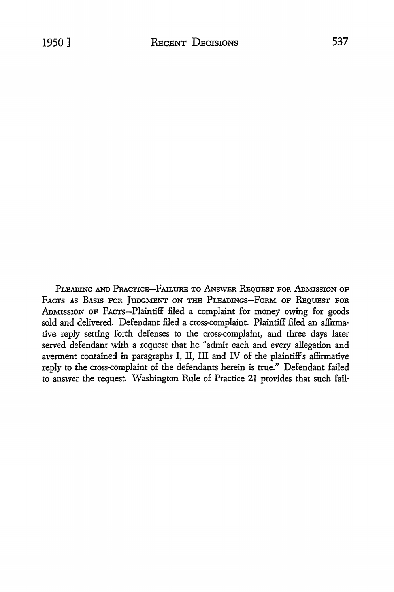PLEADING AND PRACTICE-FAILURE TO ANSWER REQUEST FOR ADMISSION OF FACTS AS BASIS FOR JUDGMENT ON THE PLEADINGS-FORM OF REQUEST FOR ADMISSION OF FACTS-Plaintiff filed a complaint for money owing for goods sold and delivered. Defendant filed a cross-complaint. Plaintiff filed an affirmative reply setting forth defenses to the cross-complaint, and three days later served defendant with a request that he "admit each and every allegation and averment contained in paragraphs I, II, III and IV of the plaintiff's affirmative reply to the cross-complaint of the defendants herein is true." Defendant failed to answer the request. Washington Rule of Practice 21 provides that such fail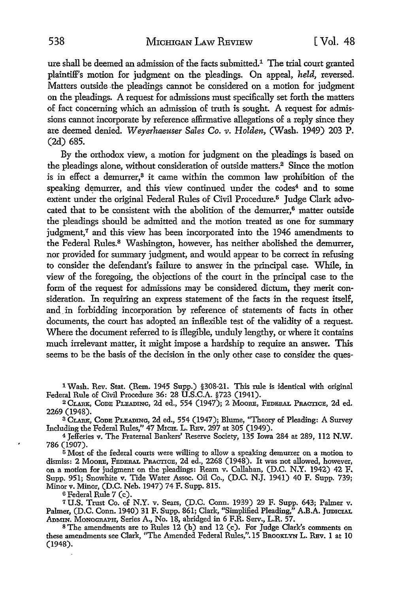ure shall be deemed an admission of the facts submitted.1 The trial court granted plaintiff's motion for judgment on the pleadings. On appeal, *held,* reversed. Matters outside the pleadings cannot be considered on a motion for judgment on the pleadings. A request for admissions must specifically set forth the matters of fact concerning which an admission of truth is sought. A request for admissions cannot incorporate by reference affirmative allegations of a reply since they are deemed denied. *Weyerhaeuser Sales Co. v. Holden,* (Wash. 1949) 203 P. (2d) 685.

By the orthodox view, a motion for judgment on the pleadings is based on the pleadings alone, without consideration of outside matters.<sup>2</sup> Since the motion is in effect a demurrer,<sup>3</sup> it came within the common law prohibition of the speaking demurrer, and this view continued under the codes<sup>4</sup> and to some extent under the original Federal Rules of Civil Procedure.<sup>5</sup> Judge Clark advocated that to be consistent with the abolition of the demurrer,<sup>6</sup> matter outside the pleadings should be admitted and the motion treated as one for summary judgment,7 and this view has been incorporated into the 1946 amendments to the Federal Rules.<sup>8</sup> Washington, however, has neither abolished the demurrer, nor provided for summary judgment, and would appear to be correct in refusing to consider the defendant's failure to answer in the principal case. While, in view of the foregoing, the objections of the court in the principal case to the form of the request for admissions may be considered dictum, they merit consideration. In requiring an express statement of the facts in the request itself, and in forbidding incorporation by reference of statements of facts in other documents, the court has adopted an inflexible test of the validity of a request. Where the document referred to is illegible, unduly lengthy, or where it contains much irrelevant matter, it might impose a hardship to require an answer. This seems to be the basis of the decision in the only other case to consider the ques-

1 Wash. Rev. Stat. (Rem. 1945 Supp.) §308-21. This rule is identical with original Federal Rule of Civil Procedure 36: 28 U.S.C.A. §723 (1941).

<sup>2</sup>CLARK, CoDE PLEADING, 2d ed., 554 (1947); 2 MooRE, FEDERAL PRACTICE, 2d ed. 2269 (1948).

3 CLARK, CoDE PLEADING, 2d ed., 554 (1947); Blume, "Theory of Pleading: A Survey Including the Federal Rules," 47 MicH. L. REv. 297 at 305 (1949).

<sup>4</sup>Jefferies v. The Fraternal Bankers' Reserve Society, 135 Iowa 284 at 289, 112 N.W. 786 (1907).

 $5$  Most of the federal courts were willing to allow a speaking demurrer on a motion to dismiss: 2 MooRE, FEDERAL PRACTICE, 2d ed., 2268 (1948). It was not allowed, however, on a motion for judgment on the pleadings: Ream v. Callahan, (D.C. N.Y. 1942) 42 F. Supp. 951; Snowhite v. Tide Water Assoc. Oil Co., (D.C. N.J. 1941) 40 F. Supp. 739; Minor v. Minor, (D.C. Neb. 1947) 74 F. Supp. 815.

<sup>6</sup>Federal Rule 7 (c).

*1* U.S. Trust Co. of N.Y. v. Sears, (D.C. Conn. 1939) 29 F. Supp. 643; Palmer v. Palmer, (D.C. Conn. 1940) 31 F. Supp. 861; Clark, "Simplified Pleading," A.B.A. JUDICIAL ADMIN. MoNOGRAPH, Series A., No. 18, abridged in 6 F.R. Serv., L.R. 57.

s The amendments are to Rules 12 (b) and 12 (c). For Judge Clark's comments on these amendments see Clark, "The Amended Federal Rules,".15 BROOKLYN L. REv. 1 at 10 (1948).